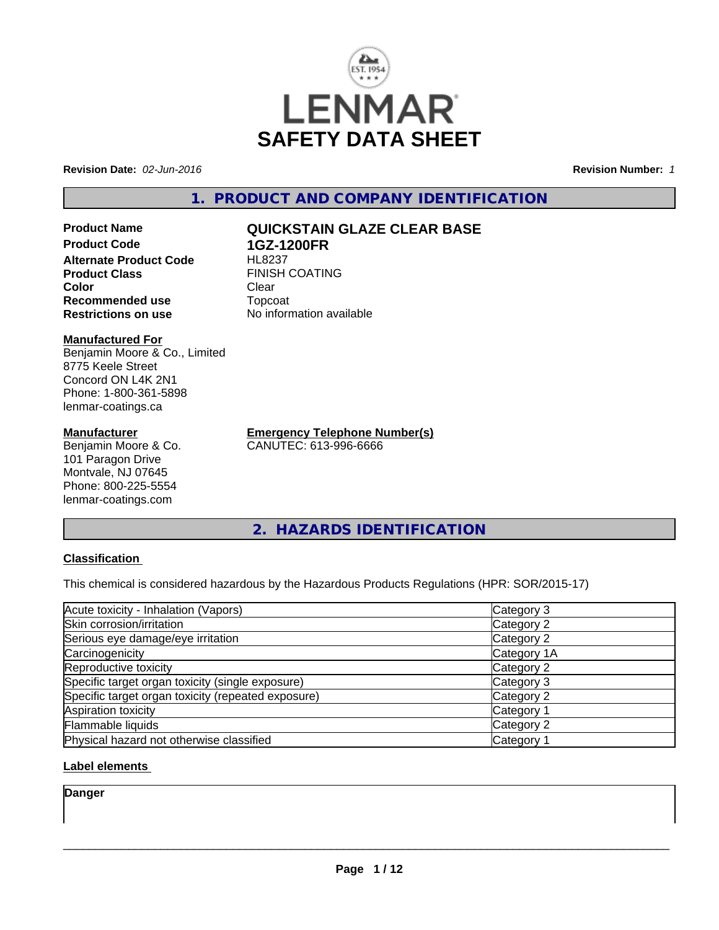

**Revision Date:** *02-Jun-2016* **Revision Number:** *1*

## **1. PRODUCT AND COMPANY IDENTIFICATION**

**Product Name QUICKSTAIN GLAZE CLEAR BASE Product Code 1GZ-1200FR Alternate Product Code Product Class** FINISH COATING<br> **Color** Clear **Color** Clear Clear **Recommended use** Topcoat **Restrictions on use** No information available

#### **Manufactured For**

Benjamin Moore & Co., Limited 8775 Keele Street Concord ON L4K 2N1 Phone: 1-800-361-5898 lenmar-coatings.ca

#### **Manufacturer**

Benjamin Moore & Co. 101 Paragon Drive Montvale, NJ 07645 Phone: 800-225-5554 lenmar-coatings.com

**Emergency Telephone Number(s)** CANUTEC: 613-996-6666

**2. HAZARDS IDENTIFICATION**

#### **Classification**

This chemical is considered hazardous by the Hazardous Products Regulations (HPR: SOR/2015-17)

| Acute toxicity - Inhalation (Vapors)               | Category 3  |
|----------------------------------------------------|-------------|
| Skin corrosion/irritation                          | Category 2  |
| Serious eye damage/eye irritation                  | Category 2  |
| Carcinogenicity                                    | Category 1A |
| Reproductive toxicity                              | Category 2  |
| Specific target organ toxicity (single exposure)   | Category 3  |
| Specific target organ toxicity (repeated exposure) | Category 2  |
| Aspiration toxicity                                | Category 1  |
| Flammable liquids                                  | Category 2  |
| Physical hazard not otherwise classified           | Category 1  |

#### **Label elements**

**Danger**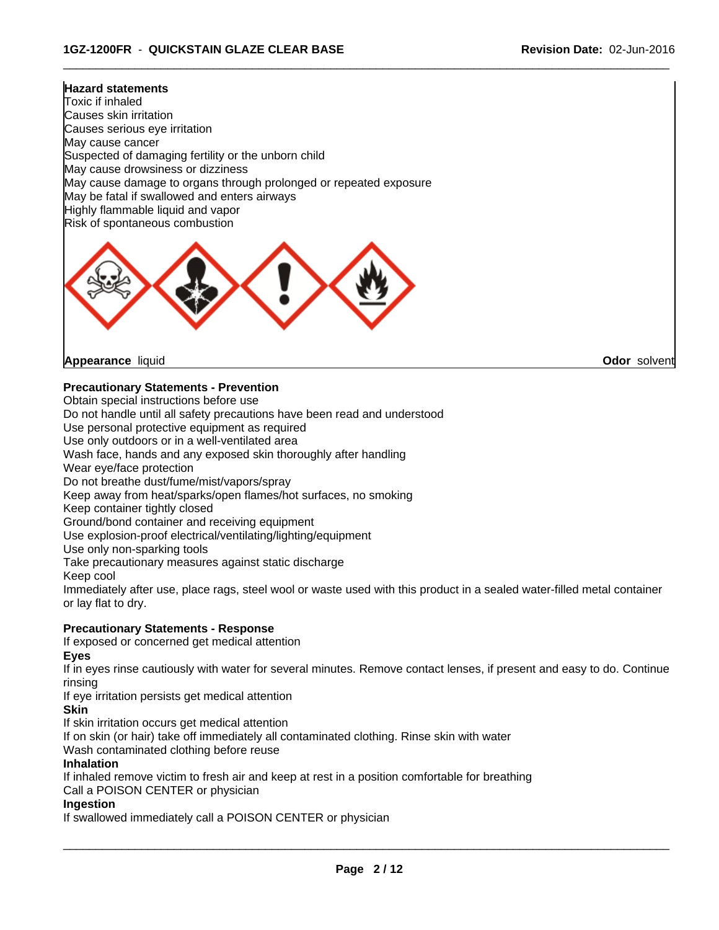#### **Hazard statements**

Toxic if inhaled Causes skin irritation Causes serious eye irritation May cause cancer Suspected of damaging fertility or the unborn child May cause drowsiness or dizziness May cause damage to organs through prolonged or repeated exposure May be fatal if swallowed and enters airways Highly flammable liquid and vapor Risk of spontaneous combustion



**Appearance** liquid **Odor** solvent

#### **Precautionary Statements - Prevention**

Obtain special instructions before use

Do not handle until all safety precautions have been read and understood

Use personal protective equipment as required

Use only outdoors or in a well-ventilated area

Wash face, hands and any exposed skin thoroughly after handling

Wear eye/face protection

Do not breathe dust/fume/mist/vapors/spray

Keep away from heat/sparks/open flames/hot surfaces, no smoking

Keep container tightly closed

Ground/bond container and receiving equipment

Use explosion-proof electrical/ventilating/lighting/equipment

Use only non-sparking tools

Take precautionary measures against static discharge

Keep cool

Immediately after use, place rags, steel wool or waste used with this product in a sealed water-filled metal container or lay flat to dry.

 $\overline{\phantom{a}}$  ,  $\overline{\phantom{a}}$  ,  $\overline{\phantom{a}}$  ,  $\overline{\phantom{a}}$  ,  $\overline{\phantom{a}}$  ,  $\overline{\phantom{a}}$  ,  $\overline{\phantom{a}}$  ,  $\overline{\phantom{a}}$  ,  $\overline{\phantom{a}}$  ,  $\overline{\phantom{a}}$  ,  $\overline{\phantom{a}}$  ,  $\overline{\phantom{a}}$  ,  $\overline{\phantom{a}}$  ,  $\overline{\phantom{a}}$  ,  $\overline{\phantom{a}}$  ,  $\overline{\phantom{a}}$ 

#### **Precautionary Statements - Response**

If exposed or concerned get medical attention

**Eyes**

If in eyes rinse cautiously with water for several minutes. Remove contact lenses, if present and easy to do. Continue rinsing

If eye irritation persists get medical attention

#### **Skin**

If skin irritation occurs get medical attention

If on skin (or hair) take off immediately all contaminated clothing. Rinse skin with water

Wash contaminated clothing before reuse

#### **Inhalation**

If inhaled remove victim to fresh air and keep at rest in a position comfortable for breathing

Call a POISON CENTER or physician

#### **Ingestion**

If swallowed immediately call a POISON CENTER or physician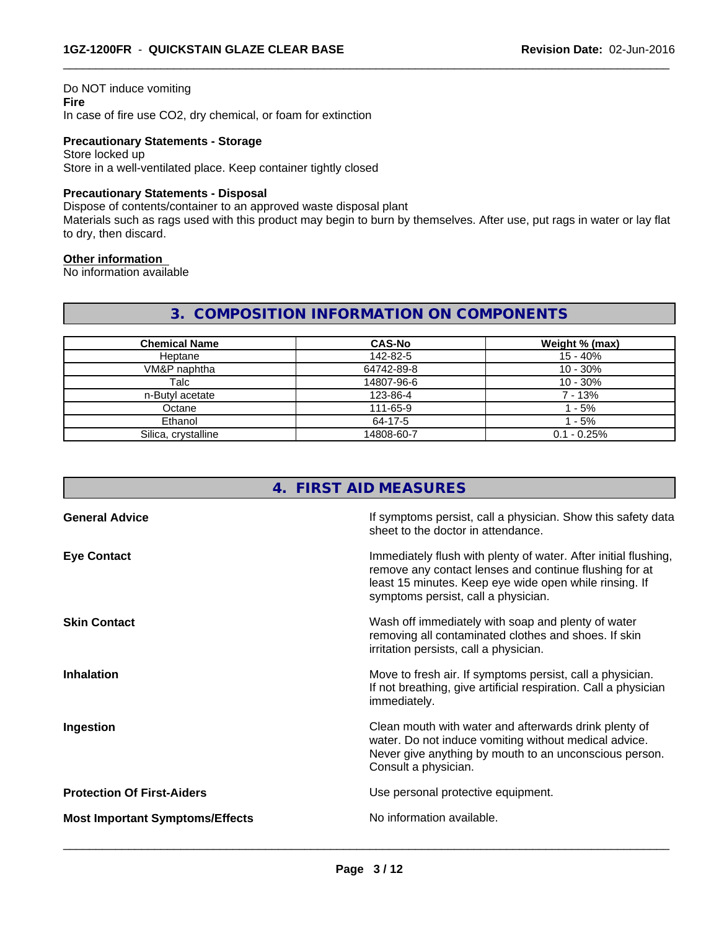#### Do NOT induce vomiting **Fire**

In case of fire use CO2, dry chemical, or foam for extinction

#### **Precautionary Statements - Storage**

Store locked up Store in a well-ventilated place. Keep container tightly closed

#### **Precautionary Statements - Disposal**

Dispose of contents/container to an approved waste disposal plant

Materials such as rags used with this product may begin to burn by themselves. After use, put rags in water or lay flat to dry, then discard.

 $\overline{\phantom{a}}$  ,  $\overline{\phantom{a}}$  ,  $\overline{\phantom{a}}$  ,  $\overline{\phantom{a}}$  ,  $\overline{\phantom{a}}$  ,  $\overline{\phantom{a}}$  ,  $\overline{\phantom{a}}$  ,  $\overline{\phantom{a}}$  ,  $\overline{\phantom{a}}$  ,  $\overline{\phantom{a}}$  ,  $\overline{\phantom{a}}$  ,  $\overline{\phantom{a}}$  ,  $\overline{\phantom{a}}$  ,  $\overline{\phantom{a}}$  ,  $\overline{\phantom{a}}$  ,  $\overline{\phantom{a}}$ 

#### **Other information**

No information available

#### **3. COMPOSITION INFORMATION ON COMPONENTS**

| <b>Chemical Name</b> | <b>CAS-No</b> | Weight % (max) |
|----------------------|---------------|----------------|
| Heptane              | 142-82-5      | 15 - 40%       |
| VM&P naphtha         | 64742-89-8    | $10 - 30%$     |
| Talc                 | 14807-96-6    | $10 - 30%$     |
| n-Butyl acetate      | 123-86-4      | 7 - 13%        |
| Octane               | 111-65-9      | $-5\%$         |
| Ethanol              | 64-17-5       | - 5%           |
| Silica, crystalline  | 14808-60-7    | $0.1 - 0.25%$  |

#### **4. FIRST AID MEASURES**

| <b>General Advice</b>                  | If symptoms persist, call a physician. Show this safety data<br>sheet to the doctor in attendance.                                                                                                                         |  |
|----------------------------------------|----------------------------------------------------------------------------------------------------------------------------------------------------------------------------------------------------------------------------|--|
| <b>Eye Contact</b>                     | Immediately flush with plenty of water. After initial flushing,<br>remove any contact lenses and continue flushing for at<br>least 15 minutes. Keep eye wide open while rinsing. If<br>symptoms persist, call a physician. |  |
| <b>Skin Contact</b>                    | Wash off immediately with soap and plenty of water<br>removing all contaminated clothes and shoes. If skin<br>irritation persists, call a physician.                                                                       |  |
| <b>Inhalation</b>                      | Move to fresh air. If symptoms persist, call a physician.<br>If not breathing, give artificial respiration. Call a physician<br>immediately.                                                                               |  |
| Ingestion                              | Clean mouth with water and afterwards drink plenty of<br>water. Do not induce vomiting without medical advice.<br>Never give anything by mouth to an unconscious person.<br>Consult a physician.                           |  |
| <b>Protection Of First-Aiders</b>      | Use personal protective equipment.                                                                                                                                                                                         |  |
| <b>Most Important Symptoms/Effects</b> | No information available.                                                                                                                                                                                                  |  |
|                                        |                                                                                                                                                                                                                            |  |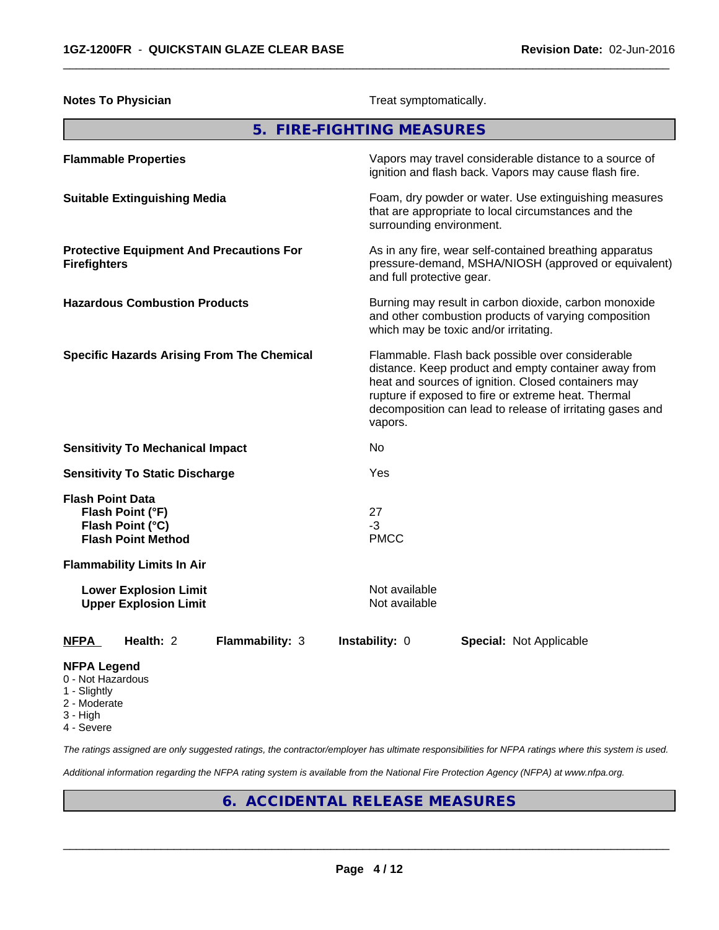| <b>Notes To Physician</b>                                                                    | Treat symptomatically.                                                                                                                                                                                                                                                                         |  |  |
|----------------------------------------------------------------------------------------------|------------------------------------------------------------------------------------------------------------------------------------------------------------------------------------------------------------------------------------------------------------------------------------------------|--|--|
|                                                                                              | 5. FIRE-FIGHTING MEASURES                                                                                                                                                                                                                                                                      |  |  |
| <b>Flammable Properties</b>                                                                  | Vapors may travel considerable distance to a source of<br>ignition and flash back. Vapors may cause flash fire.                                                                                                                                                                                |  |  |
| <b>Suitable Extinguishing Media</b>                                                          | Foam, dry powder or water. Use extinguishing measures<br>that are appropriate to local circumstances and the<br>surrounding environment.                                                                                                                                                       |  |  |
| <b>Protective Equipment And Precautions For</b><br><b>Firefighters</b>                       | As in any fire, wear self-contained breathing apparatus<br>pressure-demand, MSHA/NIOSH (approved or equivalent)<br>and full protective gear.                                                                                                                                                   |  |  |
| <b>Hazardous Combustion Products</b>                                                         | Burning may result in carbon dioxide, carbon monoxide<br>and other combustion products of varying composition<br>which may be toxic and/or irritating.                                                                                                                                         |  |  |
| <b>Specific Hazards Arising From The Chemical</b>                                            | Flammable. Flash back possible over considerable<br>distance. Keep product and empty container away from<br>heat and sources of ignition. Closed containers may<br>rupture if exposed to fire or extreme heat. Thermal<br>decomposition can lead to release of irritating gases and<br>vapors. |  |  |
| <b>Sensitivity To Mechanical Impact</b>                                                      | No.                                                                                                                                                                                                                                                                                            |  |  |
| <b>Sensitivity To Static Discharge</b>                                                       | Yes                                                                                                                                                                                                                                                                                            |  |  |
| <b>Flash Point Data</b><br>Flash Point (°F)<br>Flash Point (°C)<br><b>Flash Point Method</b> | 27<br>$-3$<br><b>PMCC</b>                                                                                                                                                                                                                                                                      |  |  |
| <b>Flammability Limits In Air</b>                                                            |                                                                                                                                                                                                                                                                                                |  |  |
| <b>Lower Explosion Limit</b><br><b>Upper Explosion Limit</b>                                 | Not available<br>Not available                                                                                                                                                                                                                                                                 |  |  |
| Flammability: 3<br><b>NFPA</b><br>Health: 2                                                  | Instability: 0<br><b>Special: Not Applicable</b>                                                                                                                                                                                                                                               |  |  |
| <b>NFPA Legend</b>                                                                           |                                                                                                                                                                                                                                                                                                |  |  |

- 0 Not Hazardous
- 1 Slightly
- 2 Moderate
- 3 High
- 4 Severe

*The ratings assigned are only suggested ratings, the contractor/employer has ultimate responsibilities for NFPA ratings where this system is used.*

*Additional information regarding the NFPA rating system is available from the National Fire Protection Agency (NFPA) at www.nfpa.org.*

## **6. ACCIDENTAL RELEASE MEASURES**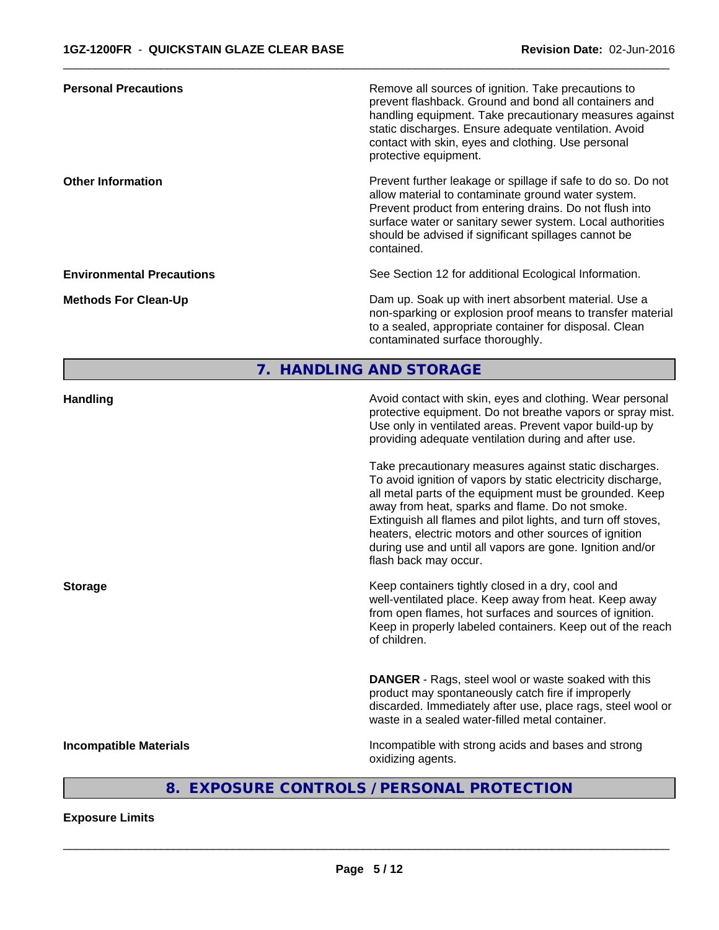| <b>Personal Precautions</b>      | Remove all sources of ignition. Take precautions to<br>prevent flashback. Ground and bond all containers and<br>handling equipment. Take precautionary measures against<br>static discharges. Ensure adequate ventilation. Avoid<br>contact with skin, eyes and clothing. Use personal<br>protective equipment.  |
|----------------------------------|------------------------------------------------------------------------------------------------------------------------------------------------------------------------------------------------------------------------------------------------------------------------------------------------------------------|
| <b>Other Information</b>         | Prevent further leakage or spillage if safe to do so. Do not<br>allow material to contaminate ground water system.<br>Prevent product from entering drains. Do not flush into<br>surface water or sanitary sewer system. Local authorities<br>should be advised if significant spillages cannot be<br>contained. |
| <b>Environmental Precautions</b> | See Section 12 for additional Ecological Information.                                                                                                                                                                                                                                                            |
| <b>Methods For Clean-Up</b>      | Dam up. Soak up with inert absorbent material. Use a<br>non-sparking or explosion proof means to transfer material<br>to a sealed, appropriate container for disposal. Clean<br>contaminated surface thoroughly.                                                                                                 |

# **7. HANDLING AND STORAGE**

| <b>Handling</b>               | Avoid contact with skin, eyes and clothing. Wear personal<br>protective equipment. Do not breathe vapors or spray mist.<br>Use only in ventilated areas. Prevent vapor build-up by<br>providing adequate ventilation during and after use.<br>Take precautionary measures against static discharges.<br>To avoid ignition of vapors by static electricity discharge,<br>all metal parts of the equipment must be grounded. Keep<br>away from heat, sparks and flame. Do not smoke.<br>Extinguish all flames and pilot lights, and turn off stoves,<br>heaters, electric motors and other sources of ignition<br>during use and until all vapors are gone. Ignition and/or<br>flash back may occur. |
|-------------------------------|----------------------------------------------------------------------------------------------------------------------------------------------------------------------------------------------------------------------------------------------------------------------------------------------------------------------------------------------------------------------------------------------------------------------------------------------------------------------------------------------------------------------------------------------------------------------------------------------------------------------------------------------------------------------------------------------------|
| <b>Storage</b>                | Keep containers tightly closed in a dry, cool and<br>well-ventilated place. Keep away from heat. Keep away<br>from open flames, hot surfaces and sources of ignition.<br>Keep in properly labeled containers. Keep out of the reach<br>of children.                                                                                                                                                                                                                                                                                                                                                                                                                                                |
|                               | <b>DANGER</b> - Rags, steel wool or waste soaked with this<br>product may spontaneously catch fire if improperly<br>discarded. Immediately after use, place rags, steel wool or<br>waste in a sealed water-filled metal container.                                                                                                                                                                                                                                                                                                                                                                                                                                                                 |
| <b>Incompatible Materials</b> | Incompatible with strong acids and bases and strong<br>oxidizing agents.                                                                                                                                                                                                                                                                                                                                                                                                                                                                                                                                                                                                                           |

# **8. EXPOSURE CONTROLS / PERSONAL PROTECTION**

#### **Exposure Limits**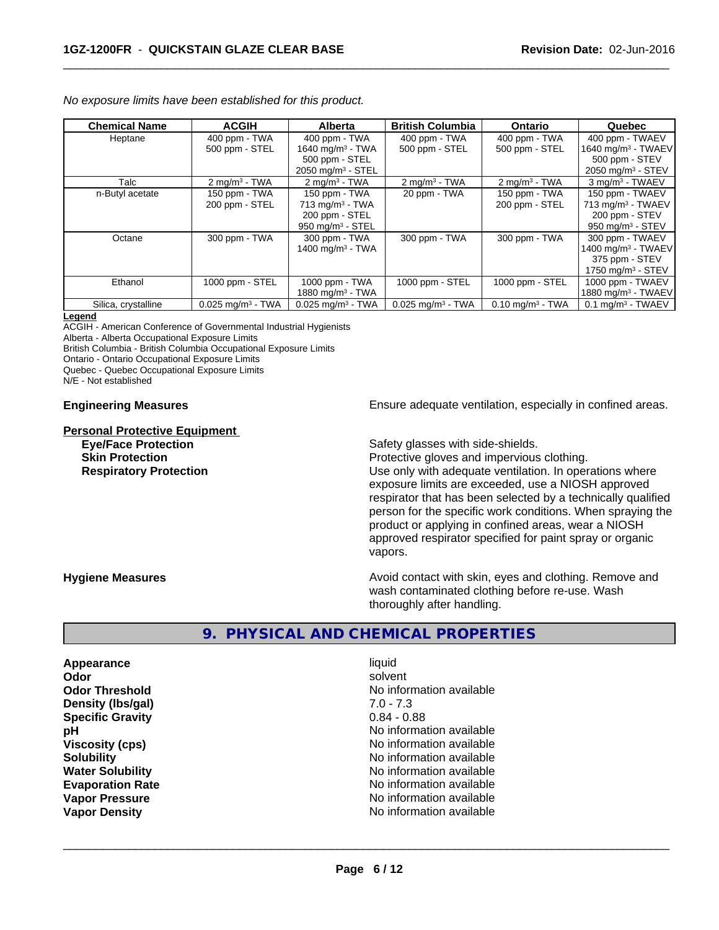|  | No exposure limits have been established for this product. |
|--|------------------------------------------------------------|
|--|------------------------------------------------------------|

| <b>Chemical Name</b> | <b>ACGIH</b>                    | <b>Alberta</b>                  | <b>British Columbia</b>         | <b>Ontario</b>                 | Quebec                          |
|----------------------|---------------------------------|---------------------------------|---------------------------------|--------------------------------|---------------------------------|
| Heptane              | 400 ppm - TWA                   | 400 ppm - TWA                   | 400 ppm - TWA                   | 400 ppm - TWA                  | 400 ppm - TWAEV                 |
|                      | 500 ppm - STEL                  | 1640 mg/m <sup>3</sup> - TWA    | 500 ppm - STEL                  | 500 ppm - STEL                 | 1640 mg/m <sup>3</sup> - TWAEV  |
|                      |                                 | 500 ppm - STEL                  |                                 |                                | 500 ppm - STEV                  |
|                      |                                 | $2050$ mg/m <sup>3</sup> - STEL |                                 |                                | 2050 mg/m $3 -$ STEV            |
| Talc                 | $2 \text{ mg/m}^3$ - TWA        | $2$ mg/m <sup>3</sup> - TWA     | $2 \text{ mg/m}^3$ - TWA        | $2 \text{ mg/m}^3$ - TWA       | 3 mg/m <sup>3</sup> - TWAEV     |
| n-Butyl acetate      | 150 ppm - TWA                   | 150 ppm - TWA                   | 20 ppm - TWA                    | 150 ppm - TWA                  | 150 ppm - TWAEV                 |
|                      | 200 ppm - STEL                  | $713$ mg/m <sup>3</sup> - TWA   |                                 | 200 ppm - STEL                 | $713$ mg/m <sup>3</sup> - TWAEV |
|                      |                                 | 200 ppm - STEL                  |                                 |                                | 200 ppm - STEV                  |
|                      |                                 | $950$ mg/m <sup>3</sup> - STEL  |                                 |                                | 950 mg/m $3 -$ STEV             |
| Octane               | 300 ppm - TWA                   | 300 ppm - TWA                   | 300 ppm - TWA                   | 300 ppm - TWA                  | 300 ppm - TWAEV                 |
|                      |                                 | 1400 mg/m <sup>3</sup> - TWA    |                                 |                                | 1400 mg/m $3$ - TWAEV           |
|                      |                                 |                                 |                                 |                                | 375 ppm - STEV                  |
|                      |                                 |                                 |                                 |                                | 1750 mg/m $3 -$ STEV            |
| Ethanol              | 1000 ppm - STEL                 | 1000 ppm - TWA                  | 1000 ppm - STEL                 | 1000 ppm - STEL                | 1000 ppm - TWAEV                |
|                      |                                 | 1880 mg/m $3$ - TWA             |                                 |                                | 1880 mg/m <sup>3</sup> - TWAEV  |
| Silica, crystalline  | $0.025$ mg/m <sup>3</sup> - TWA | $0.025$ mg/m <sup>3</sup> - TWA | $0.025$ mg/m <sup>3</sup> - TWA | $0.10$ mg/m <sup>3</sup> - TWA | $0.1$ mg/m <sup>3</sup> - TWAEV |

#### **Legend**

ACGIH - American Conference of Governmental Industrial Hygienists

Alberta - Alberta Occupational Exposure Limits

British Columbia - British Columbia Occupational Exposure Limits

Ontario - Ontario Occupational Exposure Limits

Quebec - Quebec Occupational Exposure Limits

N/E - Not established

# **Personal Protective Equipment**

**Engineering Measures Ensure adequate ventilation, especially in confined areas.** 

**Eye/Face Protection Safety glasses with side-shields.** 

**Skin Protection Protection Protective gloves and impervious clothing.** 

**Respiratory Protection Exercise 2018** Use only with adequate ventilation. In operations where exposure limits are exceeded, use a NIOSH approved respirator that has been selected by a technically qualified person for the specific work conditions. When spraying the product or applying in confined areas, wear a NIOSH approved respirator specified for paint spray or organic vapors.

**Hygiene Measures Avoid contact with skin, eyes and clothing. Remove and Avoid contact with skin, eyes and clothing. Remove and Avoid contact with skin, eyes and clothing. Remove and** wash contaminated clothing before re-use. Wash thoroughly after handling.

#### **9. PHYSICAL AND CHEMICAL PROPERTIES**

**Appearance** liquid **Density (lbs/gal)** 7.0 - 7.3 **Specific Gravity** 0.84 - 0.88

**Odor** solvent **Odor Threshold No information available No information available pH** No information available **Viscosity (cps)** No information available **Solubility No information available No information available Water Solubility** No information available **Evaporation Rate No information available No information available Vapor Pressure** No information available **Vapor Density No information available No information available**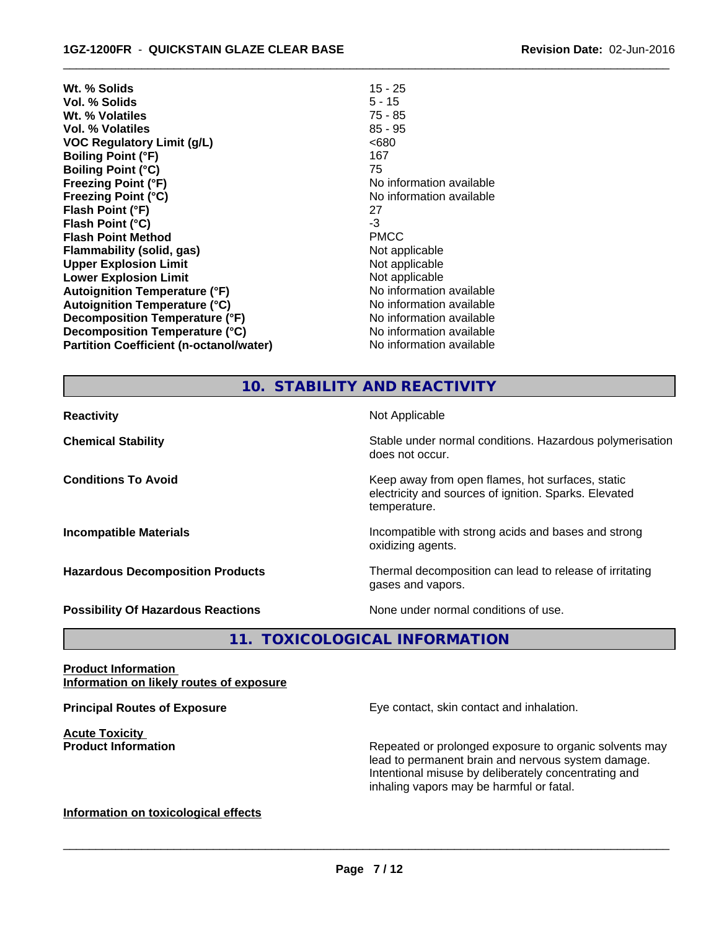| Wt. % Solids                                   | $15 - 25$                |
|------------------------------------------------|--------------------------|
| Vol. % Solids                                  | $5 - 15$                 |
| Wt. % Volatiles                                | 75 - 85                  |
| Vol. % Volatiles                               | $85 - 95$                |
| VOC Regulatory Limit (g/L)                     | <680                     |
| <b>Boiling Point (°F)</b>                      | 167                      |
| <b>Boiling Point (°C)</b>                      | 75                       |
| <b>Freezing Point (°F)</b>                     | No information available |
| <b>Freezing Point (°C)</b>                     | No information available |
| Flash Point (°F)                               | 27                       |
| Flash Point (°C)                               | -3                       |
| <b>Flash Point Method</b>                      | <b>PMCC</b>              |
| Flammability (solid, gas)                      | Not applicable           |
| <b>Upper Explosion Limit</b>                   | Not applicable           |
| <b>Lower Explosion Limit</b>                   | Not applicable           |
| <b>Autoignition Temperature (°F)</b>           | No information available |
| <b>Autoignition Temperature (°C)</b>           | No information available |
| Decomposition Temperature (°F)                 | No information available |
| Decomposition Temperature (°C)                 | No information available |
| <b>Partition Coefficient (n-octanol/water)</b> | No information available |

# **10. STABILITY AND REACTIVITY**

 $\overline{\phantom{a}}$  ,  $\overline{\phantom{a}}$  ,  $\overline{\phantom{a}}$  ,  $\overline{\phantom{a}}$  ,  $\overline{\phantom{a}}$  ,  $\overline{\phantom{a}}$  ,  $\overline{\phantom{a}}$  ,  $\overline{\phantom{a}}$  ,  $\overline{\phantom{a}}$  ,  $\overline{\phantom{a}}$  ,  $\overline{\phantom{a}}$  ,  $\overline{\phantom{a}}$  ,  $\overline{\phantom{a}}$  ,  $\overline{\phantom{a}}$  ,  $\overline{\phantom{a}}$  ,  $\overline{\phantom{a}}$ 

| Not Applicable<br><b>Reactivity</b>       |                                                                                                                           |
|-------------------------------------------|---------------------------------------------------------------------------------------------------------------------------|
| <b>Chemical Stability</b>                 | Stable under normal conditions. Hazardous polymerisation<br>does not occur.                                               |
| <b>Conditions To Avoid</b>                | Keep away from open flames, hot surfaces, static<br>electricity and sources of ignition. Sparks. Elevated<br>temperature. |
| <b>Incompatible Materials</b>             | Incompatible with strong acids and bases and strong<br>oxidizing agents.                                                  |
| <b>Hazardous Decomposition Products</b>   | Thermal decomposition can lead to release of irritating<br>gases and vapors.                                              |
| <b>Possibility Of Hazardous Reactions</b> | None under normal conditions of use.                                                                                      |

**11. TOXICOLOGICAL INFORMATION**

#### **Product Information Information on likely routes of exposure**

**Acute Toxicity**<br>**Product Information** 

**Principal Routes of Exposure Exposure** Eye contact, skin contact and inhalation.

Repeated or prolonged exposure to organic solvents may lead to permanent brain and nervous system damage. Intentional misuse by deliberately concentrating and inhaling vapors may be harmful or fatal.

#### **Information on toxicological effects**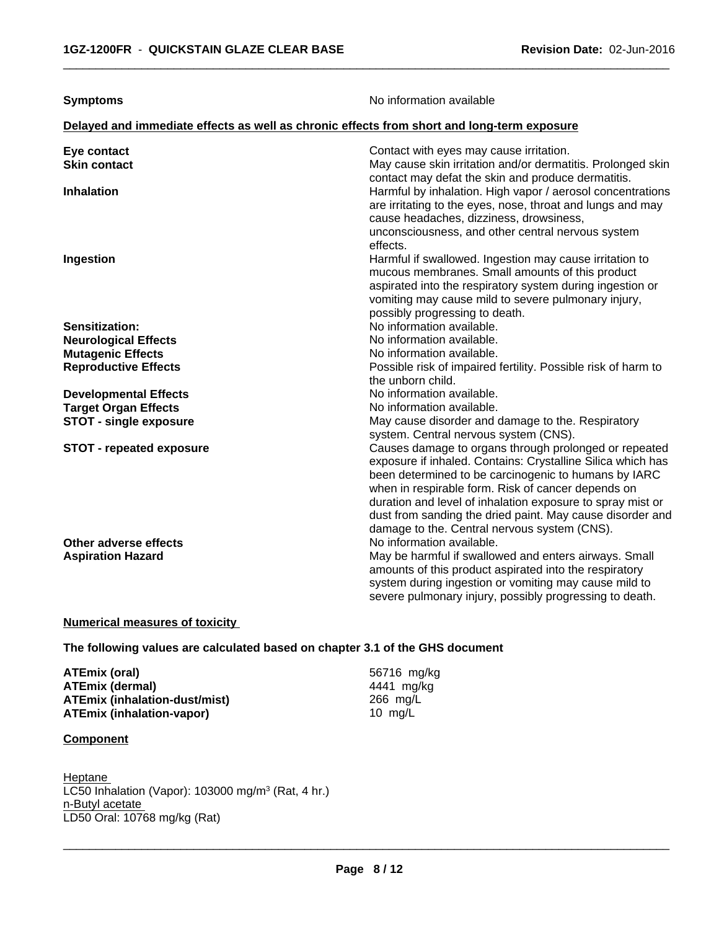| <b>Symptoms</b>                                                                            | No information available                                                                                                                                                                                                                                                                                                                                                                                      |  |  |  |
|--------------------------------------------------------------------------------------------|---------------------------------------------------------------------------------------------------------------------------------------------------------------------------------------------------------------------------------------------------------------------------------------------------------------------------------------------------------------------------------------------------------------|--|--|--|
| Delayed and immediate effects as well as chronic effects from short and long-term exposure |                                                                                                                                                                                                                                                                                                                                                                                                               |  |  |  |
| Eye contact<br><b>Skin contact</b>                                                         | Contact with eyes may cause irritation.<br>May cause skin irritation and/or dermatitis. Prolonged skin<br>contact may defat the skin and produce dermatitis.                                                                                                                                                                                                                                                  |  |  |  |
| <b>Inhalation</b>                                                                          | Harmful by inhalation. High vapor / aerosol concentrations<br>are irritating to the eyes, nose, throat and lungs and may<br>cause headaches, dizziness, drowsiness,<br>unconsciousness, and other central nervous system<br>effects.                                                                                                                                                                          |  |  |  |
| Ingestion                                                                                  | Harmful if swallowed. Ingestion may cause irritation to<br>mucous membranes. Small amounts of this product<br>aspirated into the respiratory system during ingestion or<br>vomiting may cause mild to severe pulmonary injury,<br>possibly progressing to death.                                                                                                                                              |  |  |  |
| Sensitization:                                                                             | No information available.                                                                                                                                                                                                                                                                                                                                                                                     |  |  |  |
| <b>Neurological Effects</b>                                                                | No information available.                                                                                                                                                                                                                                                                                                                                                                                     |  |  |  |
| <b>Mutagenic Effects</b>                                                                   | No information available.                                                                                                                                                                                                                                                                                                                                                                                     |  |  |  |
| <b>Reproductive Effects</b>                                                                | Possible risk of impaired fertility. Possible risk of harm to<br>the unborn child.                                                                                                                                                                                                                                                                                                                            |  |  |  |
| <b>Developmental Effects</b>                                                               | No information available.                                                                                                                                                                                                                                                                                                                                                                                     |  |  |  |
| <b>Target Organ Effects</b>                                                                | No information available.                                                                                                                                                                                                                                                                                                                                                                                     |  |  |  |
| <b>STOT - single exposure</b>                                                              | May cause disorder and damage to the. Respiratory<br>system. Central nervous system (CNS).                                                                                                                                                                                                                                                                                                                    |  |  |  |
| <b>STOT - repeated exposure</b>                                                            | Causes damage to organs through prolonged or repeated<br>exposure if inhaled. Contains: Crystalline Silica which has<br>been determined to be carcinogenic to humans by IARC<br>when in respirable form. Risk of cancer depends on<br>duration and level of inhalation exposure to spray mist or<br>dust from sanding the dried paint. May cause disorder and<br>damage to the. Central nervous system (CNS). |  |  |  |
| Other adverse effects                                                                      | No information available.                                                                                                                                                                                                                                                                                                                                                                                     |  |  |  |
| <b>Aspiration Hazard</b>                                                                   | May be harmful if swallowed and enters airways. Small<br>amounts of this product aspirated into the respiratory<br>system during ingestion or vomiting may cause mild to<br>severe pulmonary injury, possibly progressing to death.                                                                                                                                                                           |  |  |  |

#### **Numerical measures of toxicity**

#### **The following values are calculated based on chapter 3.1 of the GHS document**

**ATEmix (oral)** 56716 mg/kg **ATEmix (dermal)** 4441 mg/k<br>**ATEmix (inhalation-dust/mist)** 466 mg/L **ATEmix (inhalation-dust/mist)** 266 mg/l<br>**ATEmix (inhalation-vapor)** 266 mg/L **ATEmix** (inhalation-vapor)

#### **Component**

Heptane LC50 Inhalation (Vapor): 103000 mg/m<sup>3</sup> (Rat, 4 hr.) n-Butyl acetate \_\_\_\_\_\_\_\_\_\_\_\_\_\_\_\_\_\_\_\_\_\_\_\_\_\_\_\_\_\_\_\_\_\_\_\_\_\_\_\_\_\_\_\_\_\_\_\_\_\_\_\_\_\_\_\_\_\_\_\_\_\_\_\_\_\_\_\_\_\_\_\_\_\_\_\_\_\_\_\_\_\_\_\_\_\_\_\_\_\_\_\_\_ LD50 Oral: 10768 mg/kg (Rat)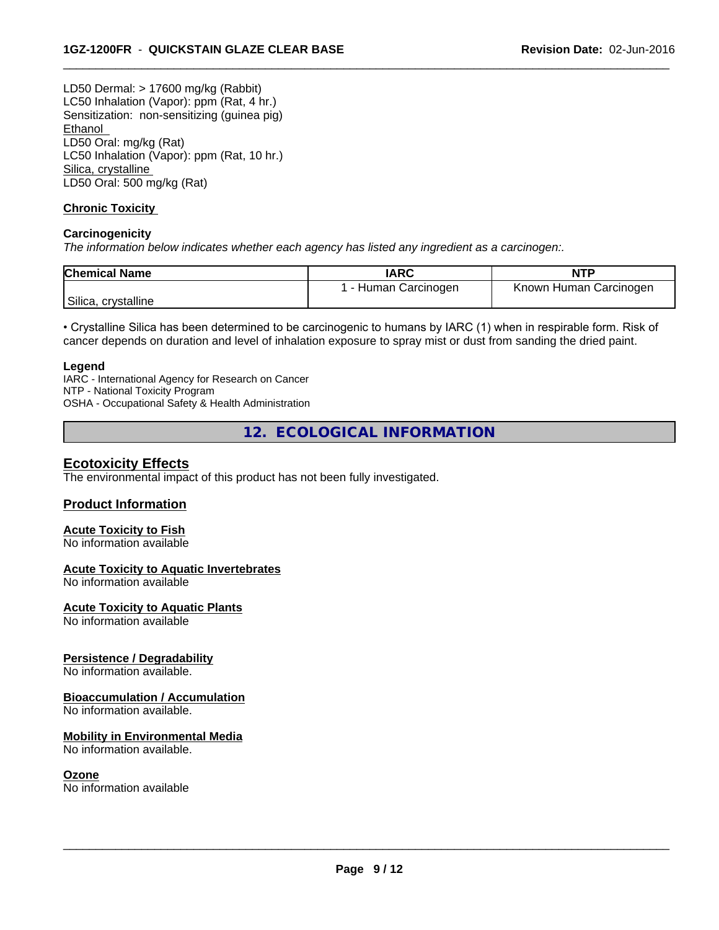LD50 Dermal: > 17600 mg/kg (Rabbit) LC50 Inhalation (Vapor): ppm (Rat, 4 hr.) Sensitization: non-sensitizing (guinea pig) Ethanol LD50 Oral: mg/kg (Rat) LC50 Inhalation (Vapor): ppm (Rat, 10 hr.) Silica, crystalline LD50 Oral: 500 mg/kg (Rat)

#### **Chronic Toxicity**

#### **Carcinogenicity**

*The information below indicateswhether each agency has listed any ingredient as a carcinogen:.*

| <b>Chemical Name</b> | <b>IARC</b>        | <b>NTF</b>             |
|----------------------|--------------------|------------------------|
|                      | - Human Carcinogen | Known Human Carcinogen |
| Silica, crystalline  |                    |                        |

 $\overline{\phantom{a}}$  ,  $\overline{\phantom{a}}$  ,  $\overline{\phantom{a}}$  ,  $\overline{\phantom{a}}$  ,  $\overline{\phantom{a}}$  ,  $\overline{\phantom{a}}$  ,  $\overline{\phantom{a}}$  ,  $\overline{\phantom{a}}$  ,  $\overline{\phantom{a}}$  ,  $\overline{\phantom{a}}$  ,  $\overline{\phantom{a}}$  ,  $\overline{\phantom{a}}$  ,  $\overline{\phantom{a}}$  ,  $\overline{\phantom{a}}$  ,  $\overline{\phantom{a}}$  ,  $\overline{\phantom{a}}$ 

• Crystalline Silica has been determined to be carcinogenic to humans by IARC (1) when in respirable form. Risk of cancer depends on duration and level of inhalation exposure to spray mist or dust from sanding the dried paint.

#### **Legend**

IARC - International Agency for Research on Cancer NTP - National Toxicity Program OSHA - Occupational Safety & Health Administration

**12. ECOLOGICAL INFORMATION**

#### **Ecotoxicity Effects**

The environmental impact of this product has not been fully investigated.

#### **Product Information**

## **Acute Toxicity to Fish**

No information available

#### **Acute Toxicity to Aquatic Invertebrates**

No information available

#### **Acute Toxicity to Aquatic Plants**

No information available

#### **Persistence / Degradability**

No information available.

#### **Bioaccumulation / Accumulation**

No information available.

#### **Mobility in Environmental Media**

No information available.

#### **Ozone**

No information available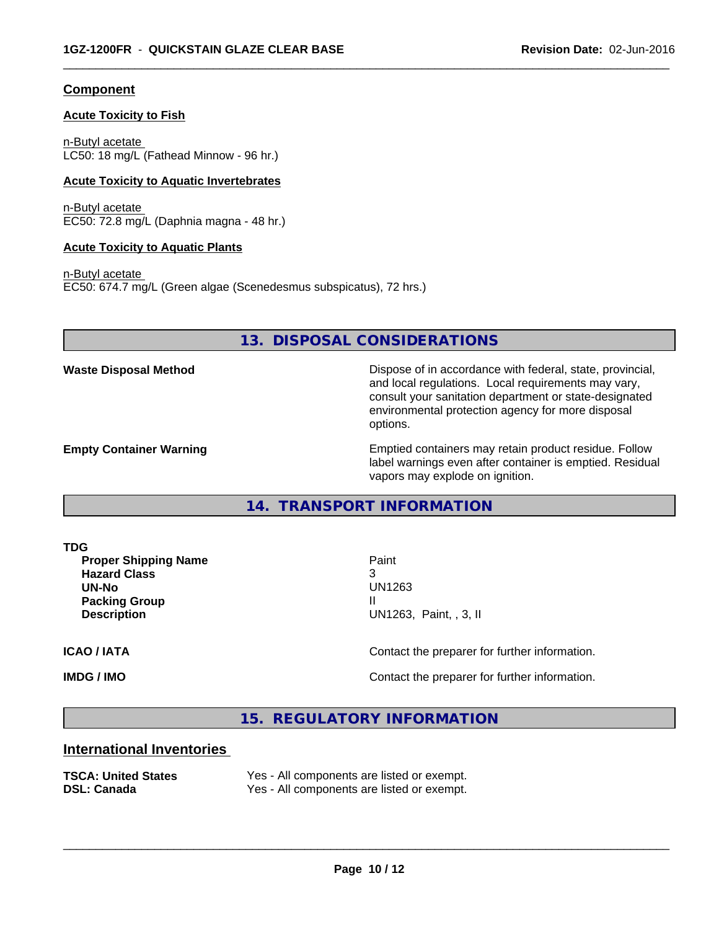#### **Component**

#### **Acute Toxicity to Fish**

n-Butyl acetate LC50: 18 mg/L (Fathead Minnow - 96 hr.)

#### **Acute Toxicity to Aquatic Invertebrates**

n-Butyl acetate EC50: 72.8 mg/L (Daphnia magna - 48 hr.)

#### **Acute Toxicity to Aquatic Plants**

n-Butyl acetate EC50: 674.7 mg/L (Green algae (Scenedesmus subspicatus), 72 hrs.)

#### **13. DISPOSAL CONSIDERATIONS**

**Waste Disposal Method** Dispose of in accordance with federal, state, provincial, and local regulations. Local requirements may vary, consult your sanitation department or state-designated environmental protection agency for more disposal options.

**Empty Container Warning <b>Emptied** Containers may retain product residue. Follow label warnings even after container is emptied. Residual vapors may explode on ignition.

**14. TRANSPORT INFORMATION**

**TDG**

**Proper Shipping Name** Paint **Hazard Class** 3 **UN-No** UN1263 **Packing Group III Description** UN1263, Paint, , 3, II

 $\overline{\phantom{a}}$  ,  $\overline{\phantom{a}}$  ,  $\overline{\phantom{a}}$  ,  $\overline{\phantom{a}}$  ,  $\overline{\phantom{a}}$  ,  $\overline{\phantom{a}}$  ,  $\overline{\phantom{a}}$  ,  $\overline{\phantom{a}}$  ,  $\overline{\phantom{a}}$  ,  $\overline{\phantom{a}}$  ,  $\overline{\phantom{a}}$  ,  $\overline{\phantom{a}}$  ,  $\overline{\phantom{a}}$  ,  $\overline{\phantom{a}}$  ,  $\overline{\phantom{a}}$  ,  $\overline{\phantom{a}}$ 

 $\overline{\phantom{a}}$  ,  $\overline{\phantom{a}}$  ,  $\overline{\phantom{a}}$  ,  $\overline{\phantom{a}}$  ,  $\overline{\phantom{a}}$  ,  $\overline{\phantom{a}}$  ,  $\overline{\phantom{a}}$  ,  $\overline{\phantom{a}}$  ,  $\overline{\phantom{a}}$  ,  $\overline{\phantom{a}}$  ,  $\overline{\phantom{a}}$  ,  $\overline{\phantom{a}}$  ,  $\overline{\phantom{a}}$  ,  $\overline{\phantom{a}}$  ,  $\overline{\phantom{a}}$  ,  $\overline{\phantom{a}}$ 

**ICAO / IATA** Contact the preparer for further information.

**IMDG / IMO Contact the preparer for further information.** 

**15. REGULATORY INFORMATION**

#### **International Inventories**

**TSCA: United States** Yes - All components are listed or exempt.<br> **DSL: Canada** Yes - All components are listed or exempt. Yes - All components are listed or exempt.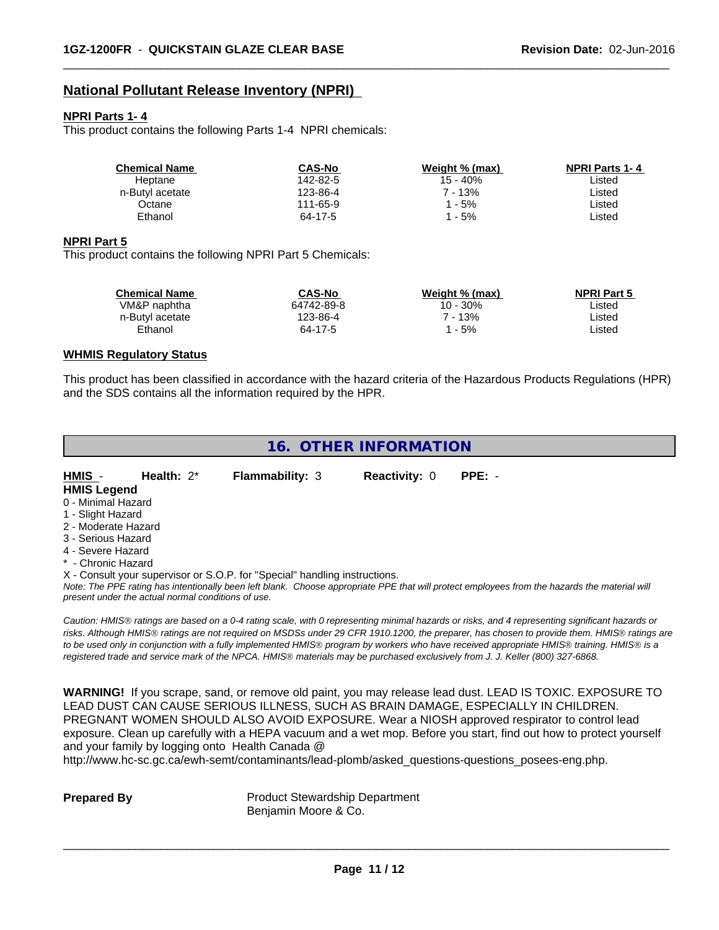#### **National Pollutant Release Inventory (NPRI)**

#### **NPRI Parts 1- 4**

This product contains the following Parts 1-4 NPRI chemicals:

| <b>Chemical Name</b> | <b>CAS-No</b> | Weight % (max) | <b>NPRI Parts 1-4</b> |
|----------------------|---------------|----------------|-----------------------|
| Heptane              | 142-82-5      | 15 - 40%       | ∟isted                |
| n-Butyl acetate      | 123-86-4      | ' - 13%        | ∟isted                |
| Octane               | 111-65-9      | - 5%           | _isted                |
| Ethanol              | 64-17-5       | - 5%           | _isted                |

 $\overline{\phantom{a}}$  ,  $\overline{\phantom{a}}$  ,  $\overline{\phantom{a}}$  ,  $\overline{\phantom{a}}$  ,  $\overline{\phantom{a}}$  ,  $\overline{\phantom{a}}$  ,  $\overline{\phantom{a}}$  ,  $\overline{\phantom{a}}$  ,  $\overline{\phantom{a}}$  ,  $\overline{\phantom{a}}$  ,  $\overline{\phantom{a}}$  ,  $\overline{\phantom{a}}$  ,  $\overline{\phantom{a}}$  ,  $\overline{\phantom{a}}$  ,  $\overline{\phantom{a}}$  ,  $\overline{\phantom{a}}$ 

#### **NPRI Part 5**

This product contains the following NPRI Part 5 Chemicals:

| <b>Chemical Name</b> | <b>CAS-No</b> | Weight % (max) | <b>NPRI Part 5</b> |  |
|----------------------|---------------|----------------|--------------------|--|
| VM&P naphtha         | 64742-89-8    | 10 - 30%       | ∟isted             |  |
| n-Butyl acetate      | 123-86-4      | 7 - 13%        | Listed             |  |
| Ethanol              | 64-17-5       | - 5%           | ∟isted             |  |

#### **WHMIS Regulatory Status**

This product has been classified in accordance with the hazard criteria of the Hazardous Products Regulations (HPR) and the SDS contains all the information required by the HPR.

|                     | 16. OTHER INFORMATION                              |                                                                            |                      |                                                                                                                                                 |  |  |  |
|---------------------|----------------------------------------------------|----------------------------------------------------------------------------|----------------------|-------------------------------------------------------------------------------------------------------------------------------------------------|--|--|--|
| HMIS -              | Health: $2^*$                                      | <b>Flammability: 3</b>                                                     | <b>Reactivity: 0</b> | $PPE: -$                                                                                                                                        |  |  |  |
| <b>HMIS Legend</b>  |                                                    |                                                                            |                      |                                                                                                                                                 |  |  |  |
| 0 - Minimal Hazard  |                                                    |                                                                            |                      |                                                                                                                                                 |  |  |  |
| 1 - Slight Hazard   |                                                    |                                                                            |                      |                                                                                                                                                 |  |  |  |
| 2 - Moderate Hazard |                                                    |                                                                            |                      |                                                                                                                                                 |  |  |  |
| 3 - Serious Hazard  |                                                    |                                                                            |                      |                                                                                                                                                 |  |  |  |
| 4 - Severe Hazard   |                                                    |                                                                            |                      |                                                                                                                                                 |  |  |  |
| * - Chronic Hazard  |                                                    |                                                                            |                      |                                                                                                                                                 |  |  |  |
|                     |                                                    | X - Consult your supervisor or S.O.P. for "Special" handling instructions. |                      |                                                                                                                                                 |  |  |  |
|                     | present under the actual normal conditions of use. |                                                                            |                      | Note: The PPE rating has intentionally been left blank. Choose appropriate PPE that will protect employees from the hazards the material will   |  |  |  |
|                     |                                                    |                                                                            |                      | Caution: HMIS® ratings are based on a 0-4 rating scale, with 0 representing minimal hazards or risks, and 4 representing significant hazards or |  |  |  |
|                     |                                                    |                                                                            |                      | risks. Although HMIS® ratings are not required on MSDSs under 29 CFR 1910.1200, the preparer, has chosen to provide them. HMIS® ratings are     |  |  |  |
|                     |                                                    |                                                                            |                      | to be used only in conjunction with a fully implemented HMIS® program by workers who have received appropriate HMIS® training. HMIS® is a       |  |  |  |
|                     |                                                    |                                                                            |                      | registered trade and service mark of the NPCA. HMIS® materials may be purchased exclusively from J. J. Keller (800) 327-6868.                   |  |  |  |

**WARNING!** If you scrape, sand, or remove old paint, you may release lead dust. LEAD IS TOXIC. EXPOSURE TO LEAD DUST CAN CAUSE SERIOUS ILLNESS, SUCH AS BRAIN DAMAGE, ESPECIALLY IN CHILDREN. PREGNANT WOMEN SHOULD ALSO AVOID EXPOSURE.Wear a NIOSH approved respirator to control lead exposure. Clean up carefully with a HEPA vacuum and a wet mop. Before you start, find out how to protect yourself and your family by logging onto Health Canada @

http://www.hc-sc.gc.ca/ewh-semt/contaminants/lead-plomb/asked\_questions-questions\_posees-eng.php.

**Prepared By** Product Stewardship Department Benjamin Moore & Co.